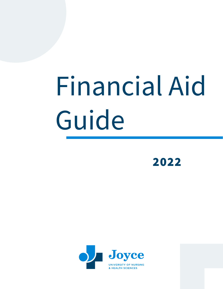# Financial Aid Guide

2022

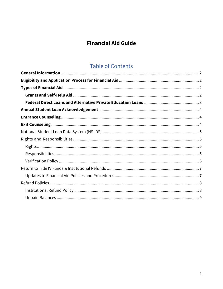# **Financial Aid Guide**

# **Table of Contents**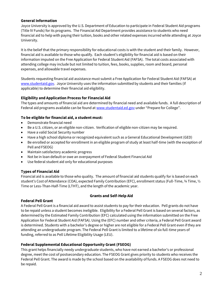#### <span id="page-2-0"></span>**General Information**

Joyce University is approved by the U.S. Department of Education to participate in Federal Student Aid programs (Title IV Funds) for its programs. The Financial Aid Department provides assistance to students who need financial aid to help with paying their tuition, books and other related expenses incurred while attending at Joyce University.

It is the belief that the primary responsibility for educational costs is with the student and their family. However, financial aid is available to those who qualify. Each student's eligibility for financial aid is based on their information imputed on the Free Application for Federal Student Aid (FAFSA). The total costs associated with attending college may include but not limited to tuition, fees, books, supplies, room and board, personal expenses, and allowable travel expenses.

Students requesting financial aid assistance must submit a Free Application for Federal Student Aid (FAFSA) at [www.studentaid.gov.](http://www.studentaid.gov/) Joyce University uses the information submitted by students and their families (if applicable) to determine their financial aid eligibility.

#### <span id="page-2-1"></span>**Eligibility and Application Process for Financial Aid**

The types and amounts of financial aid are determined by financial need and available funds. A full description of Federal aid programs available can be found at [www.studentaid.ed.gov](http://www.studentaid.ed.gov/) under "Prepare for College".

#### **To be eligible for financial aid, a student must:**

- Demonstrate financial need
- Be a U.S. citizen, or an eligible non-citizen. Verification of eligible non-citizen may be required.
- Have a valid Social Security number
- Have a high school diploma or recognized equivalent such as a General Educational Development (GED)
- Be enrolled or accepted for enrollment in an eligible program of study at least half-time (with the exception of Pell and FSEOG)
- Maintain satisfactory academic progress
- Not be in loan default or owe an overpayment of Federal Student Financial Aid
- Use federal student aid only for educational purposes

#### <span id="page-2-2"></span>**Types of Financial Aid**

Financial aid is available to those who quality. The amount of financial aid students qualify for is based on each student's Cost of Attendance (COA), expected Family Contribution (EFC), enrollment status (Full-Time, ¾ Time, ½ Time or Less-Than-Half-Time (LTHT), and the length of the academic year.

#### **Grants and Self-Help Aid**

#### <span id="page-2-3"></span>**Federal Pell Grant**

A Federal Pell Grant is a financial aid award to assist students to pay for their education. Pell grants do not have to be repaid unless a student becomes ineligible. Eligibility for a Federal Pell Grant is based on several factors, as determined by the Estimated Family Contribution (EFC) calculated using the information submitted on the Free Application for Federal Student Aid (FAFSA). Using the (EFC) number and other criteria, a Federal Pell Grant award is determined. Students with a bachelor's degree or higher are not eligible for a Federal Pell Grant even if they are attending an undergraduate program. The Federal Pell Grant is limited to a lifetime of six full-time years of funding, referred to as Pell Lifetime Eligibility Usage (LEU).

#### **Federal Supplemental Educational Opportunity Grant (FSEOG)**

This grant helps financially needy undergraduate students, who have not earned a bachelor's or professional degree, meet the cost of postsecondary education. The FSEOG Grant gives priority to students who receives the Federal Pell Grant. The award is made by the school based on the availability of funds. A FSEOG does not need to be repaid.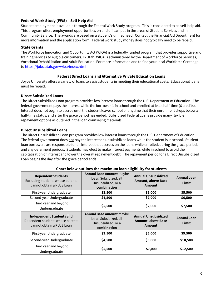## **Federal Work Study (FWS) – Self Help Aid**

Student employment is available through the Federal Work Study program. This is considered to be self-help aid. This program offers employment opportunities on and off campus in the areas of Student Services and in Community Service. The awards are based on a student's unmet need. Contact the Financial Aid Department for more information and the application form. Federal work study money does not typically need to be repaid.

# **State Grants**

The Workforce Innovation and Opportunity Act (WIOA) is a federally funded program that provides supportive and training services to eligible customers. In Utah, WIOA is administered by the Department of Workforce Services, Vocational Rehabilitation and Adult Education. For more information and to find your local Workforce Center go to <https://jobs.utah.gov/wioa/index.html>

# **Federal Direct Loans and Alternative Private Education Loans**

<span id="page-3-0"></span>Joyce University offers a variety of loans to assist students in meeting their educational costs. Educational loans must be repaid.

# **Direct Subsidized Loans**

The Direct Subsidized Loan program provides low interest loans through the U.S. Department of Education. The federal government pays the interest while the borrower is in school and enrolled at least half-time (6 credits). Interest does not begin to accrue until the student leaves school or anytime that their enrollment drops below a half-time status, and after the grace period has ended. Subsidized Federal Loans provide many flexible repayment options as outlined in the loan counseling materials.

#### **Direct Unsubsidized Loans**

The Direct Unsubsidized Loan program provides low interest loans through the U.S. Department of Education. The federal government does not pay the interest on unsubsidized loans while the student is in school. Student loan borrowers are responsible for all interest that accrues on the loans while enrolled, during the grace period, and any deferment periods. Students may elect to make interest payments while in school to avoid the capitalization of interest and lower the overall repayment debt. The repayment period for a Direct Unsubsidized Loan begins the day after the grace period ends.

| Chart beton battlifes the maximum toan eugibitity for students                             |                                                                                                |                                                                          |                             |  |
|--------------------------------------------------------------------------------------------|------------------------------------------------------------------------------------------------|--------------------------------------------------------------------------|-----------------------------|--|
| <b>Dependent Students</b><br>Excluding students whose parents<br>cannot obtain a PLUS Loan | <b>Annual Base Amount maybe</b><br>be all Subsidized, all<br>Unsubsidized, or a<br>combination | <b>Annual Unsubsidized</b><br><b>Amount, above Base</b><br><b>Amount</b> | <b>Annual Loan</b><br>Limit |  |
| First-year Undergraduate                                                                   | \$3,500                                                                                        | \$2,000                                                                  | \$5,500                     |  |
| Second-year Undergraduate                                                                  | \$4,500                                                                                        | \$2,000                                                                  | \$6,500                     |  |
| Third year and beyond<br>Undergraduate                                                     | \$5,500                                                                                        | \$2,000                                                                  | \$7,500                     |  |
|                                                                                            | <b>Annual Base Amount maybe</b>                                                                |                                                                          |                             |  |
| Independent Students and<br>Dependent students whose parents<br>cannot obtain a PLUS Loan  | be all Subsidized, all<br>Unsubsidized, or a<br>combination                                    | <b>Annual Unsubsidized</b><br>Amount, above Base<br><b>Amount</b>        | <b>Annual Loan</b><br>Limit |  |
| First-year Undergraduate                                                                   | \$3,500                                                                                        | \$6,000                                                                  | \$9,500                     |  |
| Second-year Undergraduate                                                                  | \$4,500                                                                                        | \$6,000                                                                  | \$10,500                    |  |

# **Chart below outlines the maximum loan eligibility for students**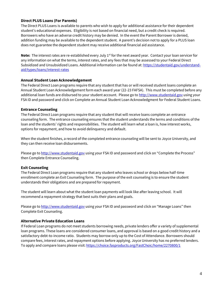#### **Direct PLUS Loans (For Parents)**

The Direct PLUS Loans is available to parents who wish to apply for additional assistance for their dependent student's educational expenses. Eligibility is not based on financial need, but a credit check is required. Borrowers who have an adverse credit history may be denied. In the event the Parent Borrower is denied, addition funding may be available to the dependent student. A parent's decision not to apply for a PLUS loan does not guarantee the dependent student may receive additional financial aid assistance.

**Note:** The interest rates are re-established every July 1<sup>st</sup> for the next award year. Contact your loan servicer for any information on what the terms, interest rates, and any fees that may be assessed to your Federal Direct Subsidized and Unsubsidized Loans. Additional information can be found at: [https://studentaid.gov/understand](https://studentaid.gov/understand-aid/types/loans/interest-rates)[aid/types/loans/interest-rates](https://studentaid.gov/understand-aid/types/loans/interest-rates)

#### <span id="page-4-0"></span>**Annual Student Loan Acknowledgement**

The Federal Direct Loan programs require that any student that has or will received student loans complete an Annual Student Loan Acknowledgement form each award year (22-23 FAFSA). This must be completed before any additional loan funds are disbursed to your student account. Please go to [http://www.studentaid.gov](http://www.studentaid.gov/) using your FSA ID and password and click on Complete an Annual Student Loan Acknowledgment for Federal Student Loans.

#### <span id="page-4-1"></span>**Entrance Counseling**

The Federal Direct Loan programs require that any student that will receive loans complete an entrance counseling form. The entrance counseling ensures that the student understands the terms and conditions of the loan and the students' rights and responsibilities. The student will learn what a loan is, how interest works, options for repayment, and how to avoid delinquency and default.

When the student finishes, a record of the completed entrance counseling will be sent to Joyce University, and they can then receive loan disbursements.

Please go to [http://www.studentaid.gov](http://www.studentaid.gov/) using your FSA ID and password and click on "Complete the Process" then Complete Entrance Counseling.

#### <span id="page-4-2"></span>**Exit Counseling**

The Federal Direct Loan programs require that any student who leaves school or drops below half-time enrollment complete an Exit Counseling form. The purpose of the exit counseling is to ensure the student understands their obligations and are prepared for repayment.

The student will learn about what the student loan payments will look like after leaving school. It will recommend a repayment strategy that best suits their plans and goals.

Please go to [http://www.studentaid.gov](http://www.studentaid.gov/) using your FSA ID and password and click on "Manage Loans" then Complete Exit Counseling.

#### **Alternative Private Education Loans**

If Federal Loan programs do not meet students borrowing needs, private lenders offer a variety of supplemental loan programs. These loans are considered consumer loans, and approval is based on a good credit history and a satisfactory debt-to-income ratio. Students may borrow only up to the Cost of Attendance. Borrowers should compare fees, interest rates, and repayment options before applying. Joyce University has no preferred lenders. To apply and compare loans please visit:<https://choice.fasproducts.org/FastChoic/home/2270800/1>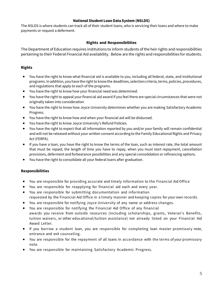#### **National Student Loan Data System (NSLDS)**

<span id="page-5-0"></span>The NSLDS is where students can track all of their student loans, who is servicing their loans and where to make payments or request a deferment.

#### **Rights and Responsibilities**

<span id="page-5-1"></span>The Department of Education requires institutions to inform students of the heir rights and responsibilities pertaining to their Federal Financial Aid availability. Below are the rights and responsibilities for students.

# <span id="page-5-2"></span>**Rights**

- You have the right to know what financial aid is available to you, including all federal, state, and institutional programs. In addition, you have the right to know the deadlines, selection criteria, terms, policies, procedures, and regulations that apply to each of the programs.
- You have the right to know how your financial need was determined.
- You have the right to appeal your financial aid award if you feel there are special circumstances that were not originally taken into consideration
- You have the right to know how Joyce University determines whether you are making Satisfactory Academic Progress.
- You have the right to know how and when your financial aid will be disbursed.
- You have the right to know Joyce University's Refund Policies.
- You have the right to expect that all information reported by you and/or your family will remain confidential and will not be released without your written consent according to the Family Educational Rights and Privacy Act (FERPA).
- If you have a loan, you have the right to know the terms of the loan, such as interest rate, the total amount that must be repaid, the length of time you have to repay, when you must start repayment, cancellation provisions, deferment and forbearance possibilities and any special consolidation or refinancing options.
- You have the right to consolidate all your federal loans after graduation.

#### <span id="page-5-3"></span>**Responsibilities**

- You are responsible for providing accurate and timely information to the Financial Aid Office
- You are responsible for reapplying for financial aid each and every year.
- You are responsible for submitting documentation and information requested by the Financial Aid Office in a timely manner and keeping copies for your own records.
- You are responsible for notifying Joyce University of any name or address changes.
- You are responsible for notifying the Financial Aid Office of any financial awards you receive from outside resources (including scholarships, grants, Veteran's Benefits,
- tuition waivers, or other educational/tuition assistance) not already listed on your Financial Aid Award Letter.
- If you borrow a student loan, you are responsible for completing loan master promissory note, entrance and exit counseling.
- You are responsible for the repayment of all loans in accordance with the terms of your promissory note.
- You are responsible for maintaining Satisfactory Academic Progress.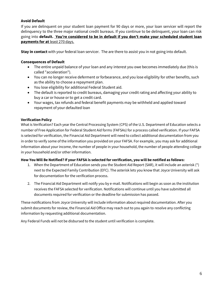# **Avoid Default**

If you are delinquent on your student loan payment for 90 days or more, your loan servicer will report the delinquency to the three major national credit bureaus. If you continue to be delinquent, your loan can risk going into **default. You're considered to be in default if you don't make your scheduled student loan payments for at** least 270 days.

**Stay in contact** with your federal loan servicer. The are there to assist you in not going into default.

# **Consequences of Default**

- The entire unpaid balance of your loan and any interest you owe becomes immediately due (this is called "acceleration").
- You can no longer receive deferment or forbearance, and you lose eligibility for other benefits, such as the ability to choose a repayment plan.
- You lose eligibility for additional Federal Student aid.
- The default is reported to credit bureaus, damaging your credit rating and affecting your ability to buy a car or house or to get a credit card.
- Your wages, tax refunds and federal benefit payments may be withheld and applied toward repayment of your defaulted loan

# <span id="page-6-0"></span>**Verification Policy**

What is Verification? Each year the Central Processing System (CPS) of the U.S. Department of Education selects a number of Free Application for Federal Student Aid forms (FAFSAs) for a process called verification. If your FAFSA is selected for verification, the Financial Aid Department will need to collect additional documentation from you in order to verify some of the information you provided on your FAFSA. For example, you may ask for additional information about your income, the number of people in your household, the number of people attending college in your household and/or other information.

#### **How You Will Be Notified? If your FAFSA is selected for verification, you will be notified as follows:**

- 1. When the Department of Education sends you the Student Aid Report (SAR), it will include an asterisk (\*) next to the Expected Family Contribution (EFC). The asterisk lets you know that Joyce University will ask for documentation for the verification process.
- 2. The Financial Aid Department will notify you by e-mail. Notifications will begin as soon as the institution receives the FAFSA selected for verification. Notifications will continue until you have submitted all documents required for verification or the deadline for submission has passed.

These notifications from Joyce University will include information about required documentation. After you submit documents for review, the Financial Aid Office may reach out to you again to resolve any conflicting information by requesting additional documentation.

Any Federal Funds will not be disbursed to the student until verification is complete.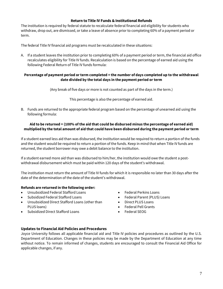#### **Return to Title IV Funds & Institutional Refunds**

<span id="page-7-0"></span>The institution is required by federal statute to recalculate federal financial aid eligibility for students who withdraw, drop out, are dismissed, or take a leave of absence prior to completing 60% of a payment period or term.

The federal Title IV financial aid programs must be recalculated in these situations:

A. If a student leaves the institution prior to completing 60% of a payment period or term, the financial aid office recalculates eligibility for Title IV funds. Recalculation is based on the percentage of earned aid using the following Federal Return of Title IV funds formula:

#### **Percentage of payment period or term completed = the number of days completed up to the withdrawal date divided by the total days in the payment period or term**

(Any break of five days or more is not counted as part of the days in the term.)

This percentage is also the percentage of earned aid.

B. Funds are returned to the appropriate federal program based on the percentage of unearned aid using the following formula:

#### **Aid to be returned = (100% of the aid that could be disbursed minus the percentage of earned aid) multiplied by the total amount of aid that could have been disbursed during the payment period or term**

If a student earned less aid than was disbursed, the institution would be required to return a portion of the funds and the student would be required to return a portion of the funds. Keep in mind that when Title IV funds are returned, the student borrower may owe a debit balance to the institution.

If a student earned more aid than was disbursed to him/her, the institution would owe the student a postwithdrawal disbursement which must be paid within 120 days of the student's withdrawal.

The institution must return the amount of Title IV funds for which it is responsible no later than 30 days after the date of the determination of the date of the student's withdrawal.

#### **Refunds are returned in the following order:**

- Unsubsidized Federal Stafford Loans
- Subsidized Federal Stafford Loans
- Unsubsidized Direct Stafford Loans (other than PLUS loans)
- Subsidized Direct Stafford Loans
- Federal Perkins Loans
- Federal Parent (PLUS) Loans
- Direct PLUS Loans
- Federal Pell Grants
- Federal SEOG

#### <span id="page-7-1"></span>**Updates to Financial Aid Policies and Procedures**

Joyce University follows all applicable financial aid and Title IV policies and procedures as outlined by the U.S. Department of Education. Changes in these policies may be made by the Department of Education at any time without notice. To remain informed of changes, students are encouraged to consult the Financial Aid Office for applicable changes, if any.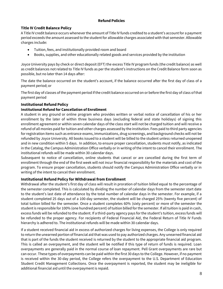# **Refund Policies**

# <span id="page-8-0"></span>**Title IV Credit Balance Policy**

A Title IV credit balance occurs whenever the amount of Title IV funds credited to a student's account for a payment period exceeds the amount assessed to the student for allowable charges associated with that semester. Allowable charges include:

- Tuition, fees, and institutionally provided room and board
- Books, supplies, and other educationally related goods and services provided by the institution

Joyce University pays by check or direct deposit (EFT) the excess Title IV program funds (the credit balance) as well as credit balances not related to Title IV funds as per the student's instructions on the Credit Balance form soon as possible, but no later than 14 days after:

The date the balance occurred on the student's account, if the balance occurred after the first day of class of a payment period; or

The first day of classes of the payment period if the credit balance occurred on or before the first day of class of that payment period

# <span id="page-8-1"></span>**Institutional Refund Policy**

# **Institutional Refund for Cancellation of Enrollment**

A student in any ground or online program who provides written or verbal notice of cancellation of his or her enrollment by the later of within three business days (excluding federal and state holidays) of signing this enrollment agreement or within seven calendar days of the class start will not be charged tuition and will receive a refund of all monies paid for tuition and other charges assessed by the institution. Fees paid to third party agencies for registration items such as entrance exams, immunizations, drug screenings, and background checks will not be refunded by Joyce University. All books issued to a student will be billed to the student unless returned unopened and in new condition within 5 days. In addition, to ensure proper cancellation, students must notify, as indicated in the Catalog, the Campus Administration Office verbally or in writing of the intent to cancel their enrollment. The institutional refunds will be made within 30 calendar days.

Subsequent to notice of cancellation, online students that cancel or are cancelled during the first term of enrollment through the end of the first week will not incur financial responsibility for the materials and cost of the program. To ensure proper cancellation, students should notify the Campus Administration Office verbally or in writing of the intent to cancel their enrollment.

#### **Institutional Refund Policy for Withdrawal from Enrollment**

Withdrawal after the student's first day of class will result in proration of tuition billed equal to the percentage of the semester completed. This is calculated by dividing the number of calendar days from the semester start date to the student's last date of attendance by the total number of calendar days in the semester. For example, if a student completed 25 days out of a 100-day semester, the student will be charged 25% (twenty five percent) of total tuition billed for the semester. Once a student completes 60% (sixty percent) or more of the semester the student is responsible for 100% (one hundred percent) of tuition billed for the semester. If all tuition is paid in cash, excess funds will be refunded to the student. If a third-party agency pays for the student's tuition, excess funds will be refunded to the proper agency. For recipients of Federal Financial Aid, the Federal Return of Title IV Funds hierarchy is adhered to. The institutional refunds will be made within 30 calendar days.

If a student received financial aid in excess of authorized charges for living expenses, the College is only required to return the unearned portion of financial aid that was used to pay authorized charges. Any unearned financial aid that is part of the funds the student received is returned by the student to the appropriate financial aid program. This is called an overpayment, and the student will be notified if this type of return of funds is required. Loan overpayments are generally paid in the normal course of loan repayment. Pell Grant overpayments are rare but can occur. These types of overpayments can be paid within the first 30 days to the College. However, if no payment is received within the 30-day period, the College refers the overpayment to the U.S. Department of Education Student Credit Management Collections. Once the overpayment is reported, the student may be ineligible for additional financial aid until the overpayment is repaid.